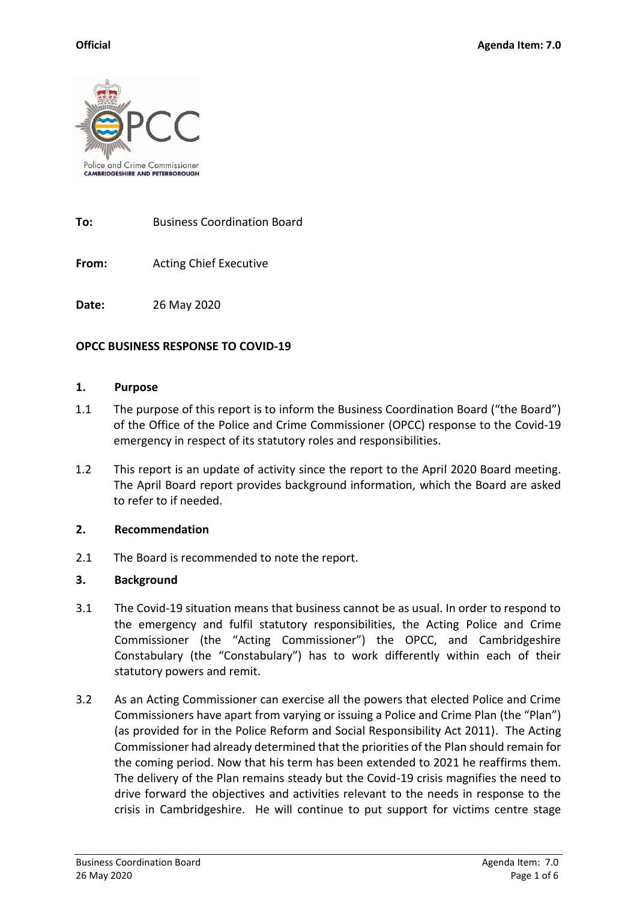

**To:** Business Coordination Board

**From:** Acting Chief Executive

**Date:** 26 May 2020

### **OPCC BUSINESS RESPONSE TO COVID-19**

#### **1. Purpose**

- 1.1 The purpose of this report is to inform the Business Coordination Board ("the Board") of the Office of the Police and Crime Commissioner (OPCC) response to the Covid-19 emergency in respect of its statutory roles and responsibilities.
- 1.2 This report is an update of activity since the report to the April 2020 Board meeting. The April Board report provides background information, which the Board are asked to refer to if needed.

### **2. Recommendation**

2.1 The Board is recommended to note the report.

### **3. Background**

- 3.1 The Covid-19 situation means that business cannot be as usual. In order to respond to the emergency and fulfil statutory responsibilities, the Acting Police and Crime Commissioner (the "Acting Commissioner") the OPCC, and Cambridgeshire Constabulary (the "Constabulary") has to work differently within each of their statutory powers and remit.
- 3.2 As an Acting Commissioner can exercise all the powers that elected Police and Crime Commissioners have apart from varying or issuing a Police and Crime Plan (the "Plan") (as provided for in the Police Reform and Social Responsibility Act 2011). The Acting Commissioner had already determined that the priorities of the Plan should remain for the coming period. Now that his term has been extended to 2021 he reaffirms them. The delivery of the Plan remains steady but the Covid-19 crisis magnifies the need to drive forward the objectives and activities relevant to the needs in response to the crisis in Cambridgeshire. He will continue to put support for victims centre stage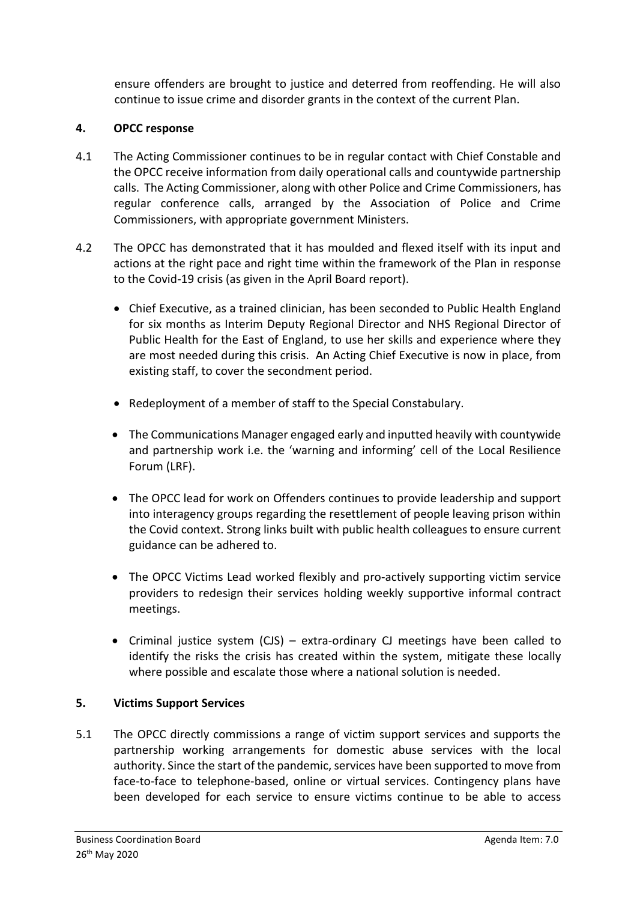ensure offenders are brought to justice and deterred from reoffending. He will also continue to issue crime and disorder grants in the context of the current Plan.

### **4. OPCC response**

- 4.1 The Acting Commissioner continues to be in regular contact with Chief Constable and the OPCC receive information from daily operational calls and countywide partnership calls. The Acting Commissioner, along with other Police and Crime Commissioners, has regular conference calls, arranged by the Association of Police and Crime Commissioners, with appropriate government Ministers.
- 4.2 The OPCC has demonstrated that it has moulded and flexed itself with its input and actions at the right pace and right time within the framework of the Plan in response to the Covid-19 crisis (as given in the April Board report).
	- Chief Executive, as a trained clinician, has been seconded to Public Health England for six months as Interim Deputy Regional Director and NHS Regional Director of Public Health for the East of England, to use her skills and experience where they are most needed during this crisis. An Acting Chief Executive is now in place, from existing staff, to cover the secondment period.
	- Redeployment of a member of staff to the Special Constabulary.
	- The Communications Manager engaged early and inputted heavily with countywide and partnership work i.e. the 'warning and informing' cell of the Local Resilience Forum (LRF).
	- The OPCC lead for work on Offenders continues to provide leadership and support into interagency groups regarding the resettlement of people leaving prison within the Covid context. Strong links built with public health colleagues to ensure current guidance can be adhered to.
	- The OPCC Victims Lead worked flexibly and pro-actively supporting victim service providers to redesign their services holding weekly supportive informal contract meetings.
	- Criminal justice system (CJS) extra-ordinary CJ meetings have been called to identify the risks the crisis has created within the system, mitigate these locally where possible and escalate those where a national solution is needed.

### **5. Victims Support Services**

5.1 The OPCC directly commissions a range of victim support services and supports the partnership working arrangements for domestic abuse services with the local authority. Since the start of the pandemic, services have been supported to move from face-to-face to telephone-based, online or virtual services. Contingency plans have been developed for each service to ensure victims continue to be able to access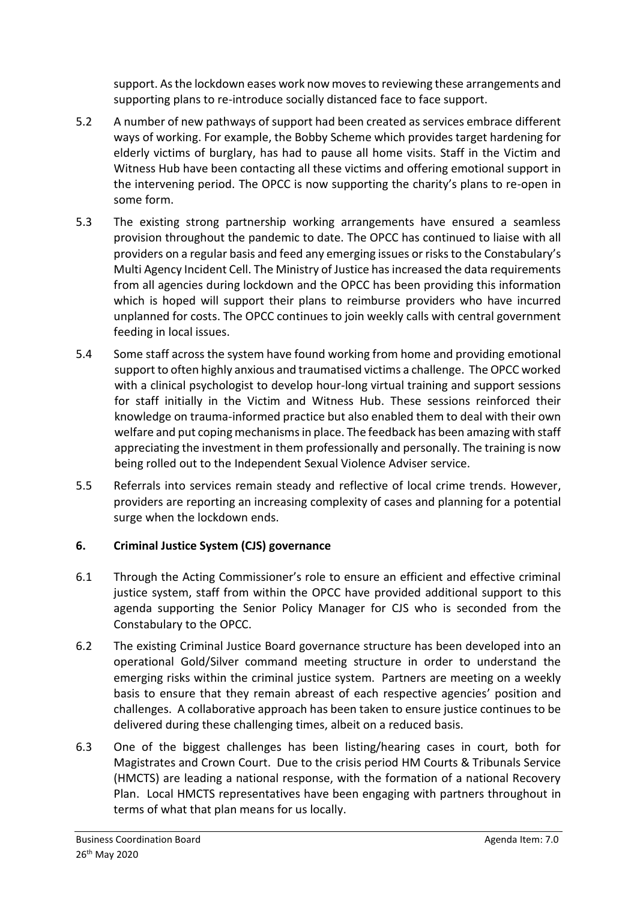support. As the lockdown eases work now moves to reviewing these arrangements and supporting plans to re-introduce socially distanced face to face support.

- 5.2 A number of new pathways of support had been created as services embrace different ways of working. For example, the Bobby Scheme which provides target hardening for elderly victims of burglary, has had to pause all home visits. Staff in the Victim and Witness Hub have been contacting all these victims and offering emotional support in the intervening period. The OPCC is now supporting the charity's plans to re-open in some form.
- 5.3 The existing strong partnership working arrangements have ensured a seamless provision throughout the pandemic to date. The OPCC has continued to liaise with all providers on a regular basis and feed any emerging issues or risksto the Constabulary's Multi Agency Incident Cell. The Ministry of Justice has increased the data requirements from all agencies during lockdown and the OPCC has been providing this information which is hoped will support their plans to reimburse providers who have incurred unplanned for costs. The OPCC continues to join weekly calls with central government feeding in local issues.
- 5.4 Some staff across the system have found working from home and providing emotional support to often highly anxious and traumatised victims a challenge. The OPCC worked with a clinical psychologist to develop hour-long virtual training and support sessions for staff initially in the Victim and Witness Hub. These sessions reinforced their knowledge on trauma-informed practice but also enabled them to deal with their own welfare and put coping mechanisms in place. The feedback has been amazing with staff appreciating the investment in them professionally and personally. The training is now being rolled out to the Independent Sexual Violence Adviser service.
- 5.5 Referrals into services remain steady and reflective of local crime trends. However, providers are reporting an increasing complexity of cases and planning for a potential surge when the lockdown ends.

# **6. Criminal Justice System (CJS) governance**

- 6.1 Through the Acting Commissioner's role to ensure an efficient and effective criminal justice system, staff from within the OPCC have provided additional support to this agenda supporting the Senior Policy Manager for CJS who is seconded from the Constabulary to the OPCC.
- 6.2 The existing Criminal Justice Board governance structure has been developed into an operational Gold/Silver command meeting structure in order to understand the emerging risks within the criminal justice system. Partners are meeting on a weekly basis to ensure that they remain abreast of each respective agencies' position and challenges. A collaborative approach has been taken to ensure justice continues to be delivered during these challenging times, albeit on a reduced basis.
- 6.3 One of the biggest challenges has been listing/hearing cases in court, both for Magistrates and Crown Court. Due to the crisis period HM Courts & Tribunals Service (HMCTS) are leading a national response, with the formation of a national Recovery Plan. Local HMCTS representatives have been engaging with partners throughout in terms of what that plan means for us locally.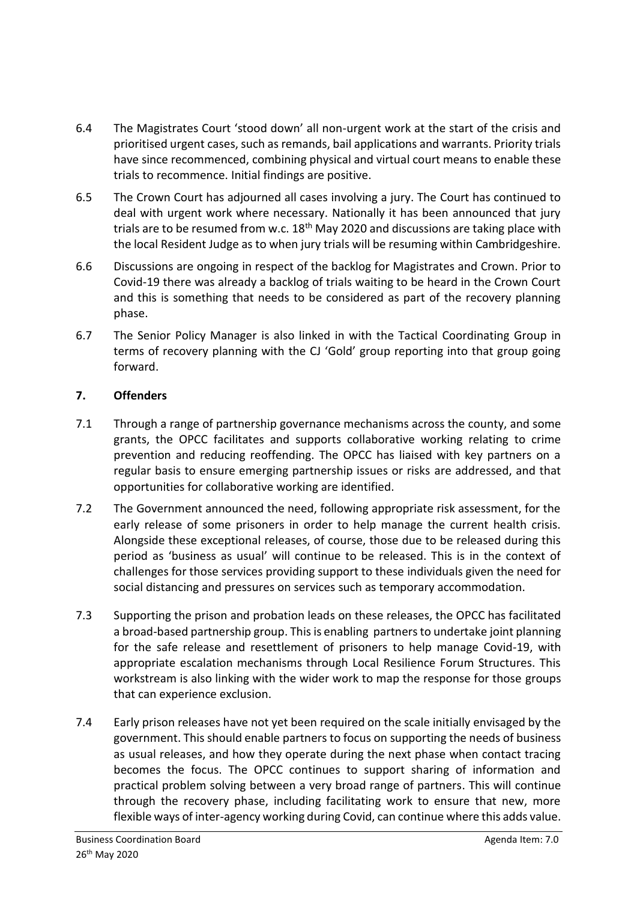- 6.4 The Magistrates Court 'stood down' all non-urgent work at the start of the crisis and prioritised urgent cases, such as remands, bail applications and warrants. Priority trials have since recommenced, combining physical and virtual court means to enable these trials to recommence. Initial findings are positive.
- 6.5 The Crown Court has adjourned all cases involving a jury. The Court has continued to deal with urgent work where necessary. Nationally it has been announced that jury trials are to be resumed from w.c.  $18<sup>th</sup>$  May 2020 and discussions are taking place with the local Resident Judge as to when jury trials will be resuming within Cambridgeshire.
- 6.6 Discussions are ongoing in respect of the backlog for Magistrates and Crown. Prior to Covid-19 there was already a backlog of trials waiting to be heard in the Crown Court and this is something that needs to be considered as part of the recovery planning phase.
- 6.7 The Senior Policy Manager is also linked in with the Tactical Coordinating Group in terms of recovery planning with the CJ 'Gold' group reporting into that group going forward.

# **7. Offenders**

- 7.1 Through a range of partnership governance mechanisms across the county, and some grants, the OPCC facilitates and supports collaborative working relating to crime prevention and reducing reoffending. The OPCC has liaised with key partners on a regular basis to ensure emerging partnership issues or risks are addressed, and that opportunities for collaborative working are identified.
- 7.2 The Government announced the need, following appropriate risk assessment, for the early release of some prisoners in order to help manage the current health crisis. Alongside these exceptional releases, of course, those due to be released during this period as 'business as usual' will continue to be released. This is in the context of challenges for those services providing support to these individuals given the need for social distancing and pressures on services such as temporary accommodation.
- 7.3 Supporting the prison and probation leads on these releases, the OPCC has facilitated a broad-based partnership group. This is enabling partners to undertake joint planning for the safe release and resettlement of prisoners to help manage Covid-19, with appropriate escalation mechanisms through Local Resilience Forum Structures. This workstream is also linking with the wider work to map the response for those groups that can experience exclusion.
- 7.4 Early prison releases have not yet been required on the scale initially envisaged by the government. This should enable partners to focus on supporting the needs of business as usual releases, and how they operate during the next phase when contact tracing becomes the focus. The OPCC continues to support sharing of information and practical problem solving between a very broad range of partners. This will continue through the recovery phase, including facilitating work to ensure that new, more flexible ways of inter-agency working during Covid, can continue where this adds value.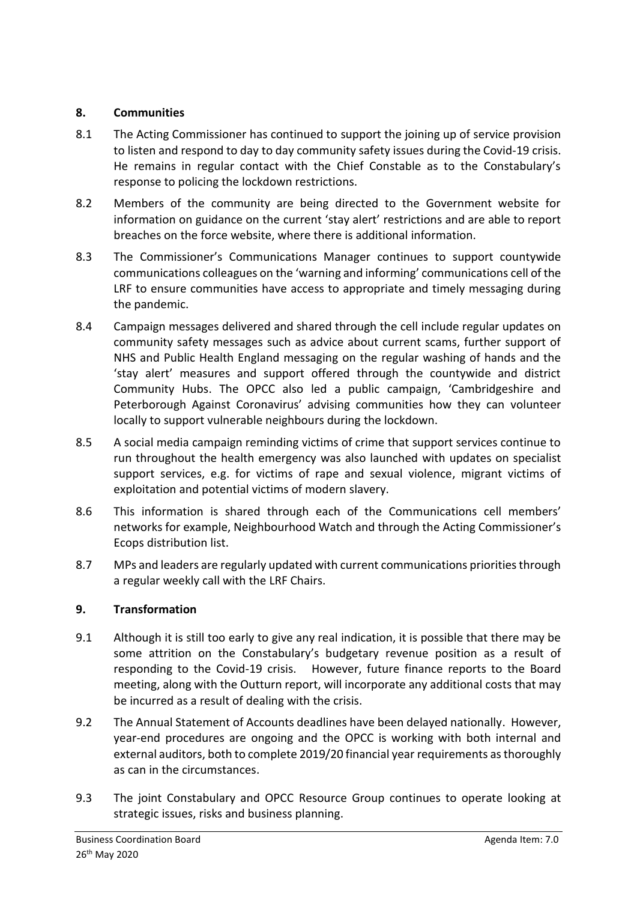### **8. Communities**

- 8.1 The Acting Commissioner has continued to support the joining up of service provision to listen and respond to day to day community safety issues during the Covid-19 crisis. He remains in regular contact with the Chief Constable as to the Constabulary's response to policing the lockdown restrictions.
- 8.2 Members of the community are being directed to the Government website for information on guidance on the current 'stay alert' restrictions and are able to report breaches on the force website, where there is additional information.
- 8.3 The Commissioner's Communications Manager continues to support countywide communications colleagues on the 'warning and informing' communications cell of the LRF to ensure communities have access to appropriate and timely messaging during the pandemic.
- 8.4 Campaign messages delivered and shared through the cell include regular updates on community safety messages such as advice about current scams, further support of NHS and Public Health England messaging on the regular washing of hands and the 'stay alert' measures and support offered through the countywide and district Community Hubs. The OPCC also led a public campaign, 'Cambridgeshire and Peterborough Against Coronavirus' advising communities how they can volunteer locally to support vulnerable neighbours during the lockdown.
- 8.5 A social media campaign reminding victims of crime that support services continue to run throughout the health emergency was also launched with updates on specialist support services, e.g. for victims of rape and sexual violence, migrant victims of exploitation and potential victims of modern slavery.
- 8.6 This information is shared through each of the Communications cell members' networks for example, Neighbourhood Watch and through the Acting Commissioner's Ecops distribution list.
- 8.7 MPs and leaders are regularly updated with current communications priorities through a regular weekly call with the LRF Chairs.

### **9. Transformation**

- 9.1 Although it is still too early to give any real indication, it is possible that there may be some attrition on the Constabulary's budgetary revenue position as a result of responding to the Covid-19 crisis. However, future finance reports to the Board meeting, along with the Outturn report, will incorporate any additional costs that may be incurred as a result of dealing with the crisis.
- 9.2 The Annual Statement of Accounts deadlines have been delayed nationally. However, year-end procedures are ongoing and the OPCC is working with both internal and external auditors, both to complete 2019/20 financial year requirements as thoroughly as can in the circumstances.
- 9.3 The joint Constabulary and OPCC Resource Group continues to operate looking at strategic issues, risks and business planning.